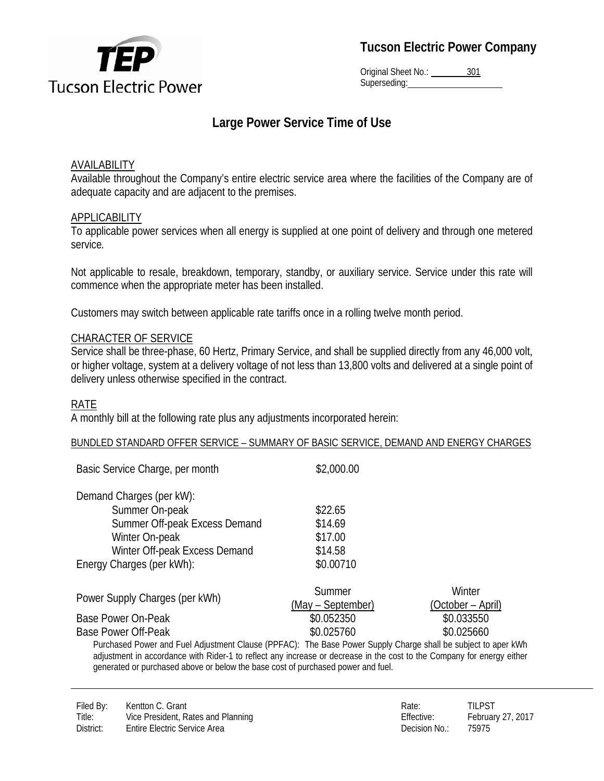

Original Sheet No.: 301 Superseding:

# **Large Power Service Time of Use**

### AVAILABILITY

Available throughout the Company's entire electric service area where the facilities of the Company are of adequate capacity and are adjacent to the premises.

#### APPLICABILITY

To applicable power services when all energy is supplied at one point of delivery and through one metered service*.* 

Not applicable to resale, breakdown, temporary, standby, or auxiliary service. Service under this rate will commence when the appropriate meter has been installed.

Customers may switch between applicable rate tariffs once in a rolling twelve month period.

#### CHARACTER OF SERVICE

Service shall be three-phase, 60 Hertz, Primary Service, and shall be supplied directly from any 46,000 volt, or higher voltage, system at a delivery voltage of not less than 13,800 volts and delivered at a single point of delivery unless otherwise specified in the contract.

#### RATE

A monthly bill at the following rate plus any adjustments incorporated herein:

#### BUNDLED STANDARD OFFER SERVICE – SUMMARY OF BASIC SERVICE, DEMAND AND ENERGY CHARGES

| Basic Service Charge, per month                                                                                                                                                                                                                                                                                             | \$2,000.00        |                   |  |
|-----------------------------------------------------------------------------------------------------------------------------------------------------------------------------------------------------------------------------------------------------------------------------------------------------------------------------|-------------------|-------------------|--|
| Demand Charges (per kW):                                                                                                                                                                                                                                                                                                    |                   |                   |  |
| Summer On-peak                                                                                                                                                                                                                                                                                                              | \$22.65           |                   |  |
| Summer Off-peak Excess Demand                                                                                                                                                                                                                                                                                               | \$14.69           |                   |  |
| Winter On-peak                                                                                                                                                                                                                                                                                                              | \$17.00           |                   |  |
| Winter Off-peak Excess Demand                                                                                                                                                                                                                                                                                               | \$14.58           |                   |  |
| Energy Charges (per kWh):                                                                                                                                                                                                                                                                                                   | \$0.00710         |                   |  |
| Power Supply Charges (per kWh)                                                                                                                                                                                                                                                                                              | Summer            | Winter            |  |
|                                                                                                                                                                                                                                                                                                                             | (May – September) | (October – April) |  |
| Base Power On-Peak                                                                                                                                                                                                                                                                                                          | \$0.052350        | \$0.033550        |  |
| <b>Base Power Off-Peak</b>                                                                                                                                                                                                                                                                                                  | \$0.025760        | \$0.025660        |  |
| Purchased Power and Fuel Adjustment Clause (PPFAC): The Base Power Supply Charge shall be subject to aper kWh<br>adjustment in accordance with Rider-1 to reflect any increase or decrease in the cost to the Company for energy either<br>generated or purchased above or below the base cost of purchased power and fuel. |                   |                   |  |

Filed By: Kentton C. Grant C. And C. And C. Communication C. Communication C. Communication C. Communication C. Communication C. Communication C. Communication C. Communication C. Communication C. Communication C. Communic Title: Vice President, Rates and Planning Tritle: Effective: February 27, 2017 District: Entire Electric Service Area **Decision No.: 25975** Decision No.: 25975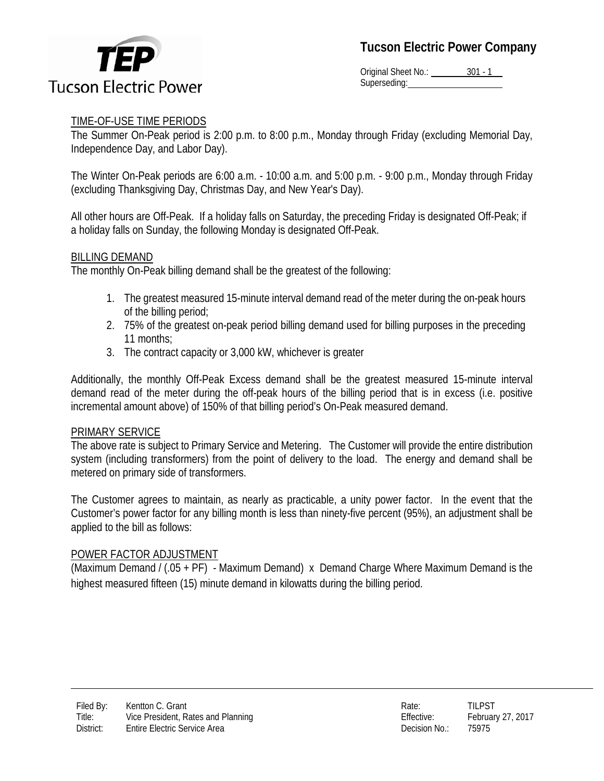

Original Sheet No.: 301 - 1 Superseding:

## TIME-OF-USE TIME PERIODS

The Summer On-Peak period is 2:00 p.m. to 8:00 p.m., Monday through Friday (excluding Memorial Day, Independence Day, and Labor Day).

The Winter On-Peak periods are 6:00 a.m. - 10:00 a.m. and 5:00 p.m. - 9:00 p.m., Monday through Friday (excluding Thanksgiving Day, Christmas Day, and New Year's Day).

All other hours are Off-Peak. If a holiday falls on Saturday, the preceding Friday is designated Off-Peak; if a holiday falls on Sunday, the following Monday is designated Off-Peak.

## BILLING DEMAND

The monthly On-Peak billing demand shall be the greatest of the following:

- 1. The greatest measured 15-minute interval demand read of the meter during the on-peak hours of the billing period;
- 2. 75% of the greatest on-peak period billing demand used for billing purposes in the preceding 11 months;
- 3. The contract capacity or 3,000 kW, whichever is greater

Additionally, the monthly Off-Peak Excess demand shall be the greatest measured 15-minute interval demand read of the meter during the off-peak hours of the billing period that is in excess (i.e. positive incremental amount above) of 150% of that billing period's On-Peak measured demand.

#### PRIMARY SERVICE

The above rate is subject to Primary Service and Metering. The Customer will provide the entire distribution system (including transformers) from the point of delivery to the load. The energy and demand shall be metered on primary side of transformers.

The Customer agrees to maintain, as nearly as practicable, a unity power factor. In the event that the Customer's power factor for any billing month is less than ninety-five percent (95%), an adjustment shall be applied to the bill as follows:

#### POWER FACTOR ADJUSTMENT

(Maximum Demand / (.05 + PF) - Maximum Demand) x Demand Charge Where Maximum Demand is the highest measured fifteen (15) minute demand in kilowatts during the billing period.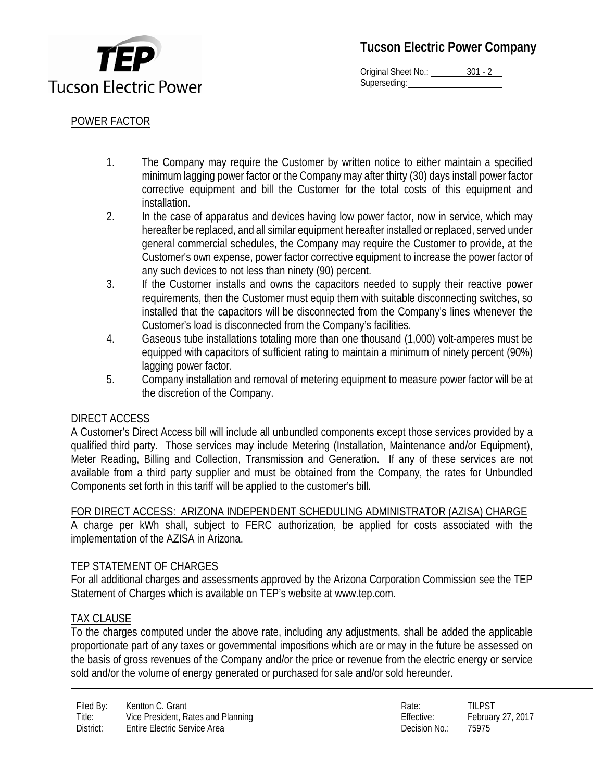

Original Sheet No.: 301 - 2 Superseding:

## POWER FACTOR

- 1. The Company may require the Customer by written notice to either maintain a specified minimum lagging power factor or the Company may after thirty (30) days install power factor corrective equipment and bill the Customer for the total costs of this equipment and installation.
- 2. In the case of apparatus and devices having low power factor, now in service, which may hereafter be replaced, and all similar equipment hereafter installed or replaced, served under general commercial schedules, the Company may require the Customer to provide, at the Customer's own expense, power factor corrective equipment to increase the power factor of any such devices to not less than ninety (90) percent.
- 3. If the Customer installs and owns the capacitors needed to supply their reactive power requirements, then the Customer must equip them with suitable disconnecting switches, so installed that the capacitors will be disconnected from the Company's lines whenever the Customer's load is disconnected from the Company's facilities.
- 4. Gaseous tube installations totaling more than one thousand (1,000) volt-amperes must be equipped with capacitors of sufficient rating to maintain a minimum of ninety percent (90%) lagging power factor.
- 5. Company installation and removal of metering equipment to measure power factor will be at the discretion of the Company.

## DIRECT ACCESS

A Customer's Direct Access bill will include all unbundled components except those services provided by a qualified third party. Those services may include Metering (Installation, Maintenance and/or Equipment), Meter Reading, Billing and Collection, Transmission and Generation. If any of these services are not available from a third party supplier and must be obtained from the Company, the rates for Unbundled Components set forth in this tariff will be applied to the customer's bill.

#### FOR DIRECT ACCESS: ARIZONA INDEPENDENT SCHEDULING ADMINISTRATOR (AZISA) CHARGE

A charge per kWh shall, subject to FERC authorization, be applied for costs associated with the implementation of the AZISA in Arizona.

#### TEP STATEMENT OF CHARGES

For all additional charges and assessments approved by the Arizona Corporation Commission see the TEP Statement of Charges which is available on TEP's website at www.tep.com.

## TAX CLAUSE

To the charges computed under the above rate, including any adjustments, shall be added the applicable proportionate part of any taxes or governmental impositions which are or may in the future be assessed on the basis of gross revenues of the Company and/or the price or revenue from the electric energy or service sold and/or the volume of energy generated or purchased for sale and/or sold hereunder.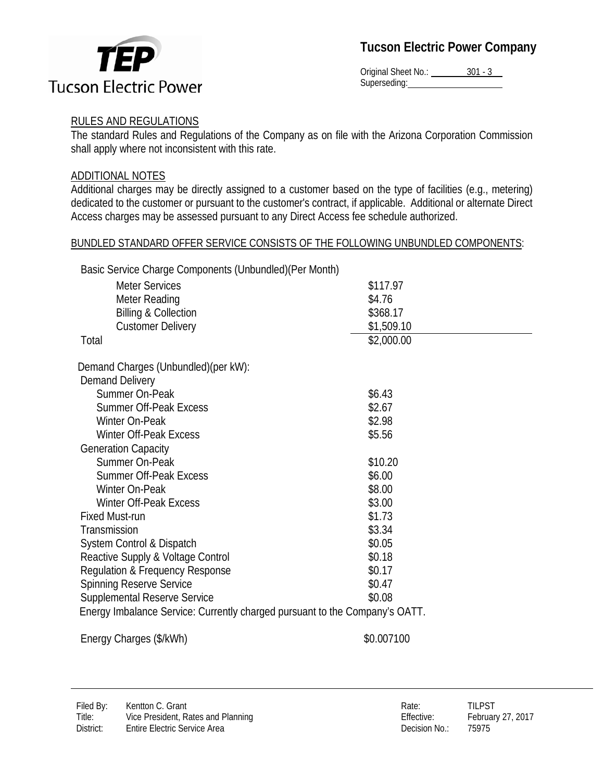

Original Sheet No.: 301 - 3 Superseding:

## RULES AND REGULATIONS

The standard Rules and Regulations of the Company as on file with the Arizona Corporation Commission shall apply where not inconsistent with this rate.

### ADDITIONAL NOTES

Additional charges may be directly assigned to a customer based on the type of facilities (e.g., metering) dedicated to the customer or pursuant to the customer's contract, if applicable. Additional or alternate Direct Access charges may be assessed pursuant to any Direct Access fee schedule authorized.

#### BUNDLED STANDARD OFFER SERVICE CONSISTS OF THE FOLLOWING UNBUNDLED COMPONENTS:

Basic Service Charge Components (Unbundled)(Per Month)

| <b>Meter Services</b>                                                       | \$117.97   |  |
|-----------------------------------------------------------------------------|------------|--|
| Meter Reading                                                               | \$4.76     |  |
| <b>Billing &amp; Collection</b>                                             | \$368.17   |  |
| <b>Customer Delivery</b>                                                    | \$1,509.10 |  |
| Total                                                                       | \$2,000.00 |  |
| Demand Charges (Unbundled)(per kW):                                         |            |  |
| <b>Demand Delivery</b>                                                      |            |  |
| Summer On-Peak                                                              | \$6.43     |  |
| <b>Summer Off-Peak Excess</b>                                               | \$2.67     |  |
| Winter On-Peak                                                              | \$2.98     |  |
| <b>Winter Off-Peak Excess</b>                                               | \$5.56     |  |
| <b>Generation Capacity</b>                                                  |            |  |
| Summer On-Peak                                                              | \$10.20    |  |
| <b>Summer Off-Peak Excess</b>                                               | \$6.00     |  |
| Winter On-Peak                                                              | \$8.00     |  |
| Winter Off-Peak Excess                                                      | \$3.00     |  |
| <b>Fixed Must-run</b>                                                       | \$1.73     |  |
| Transmission                                                                | \$3.34     |  |
| System Control & Dispatch                                                   | \$0.05     |  |
| Reactive Supply & Voltage Control                                           | \$0.18     |  |
| Regulation & Frequency Response                                             | \$0.17     |  |
| <b>Spinning Reserve Service</b>                                             | \$0.47     |  |
| <b>Supplemental Reserve Service</b><br>\$0.08                               |            |  |
| Energy Imbalance Service: Currently charged pursuant to the Company's OATT. |            |  |
|                                                                             |            |  |

Energy Charges (\$/kWh)  $$0.007100$